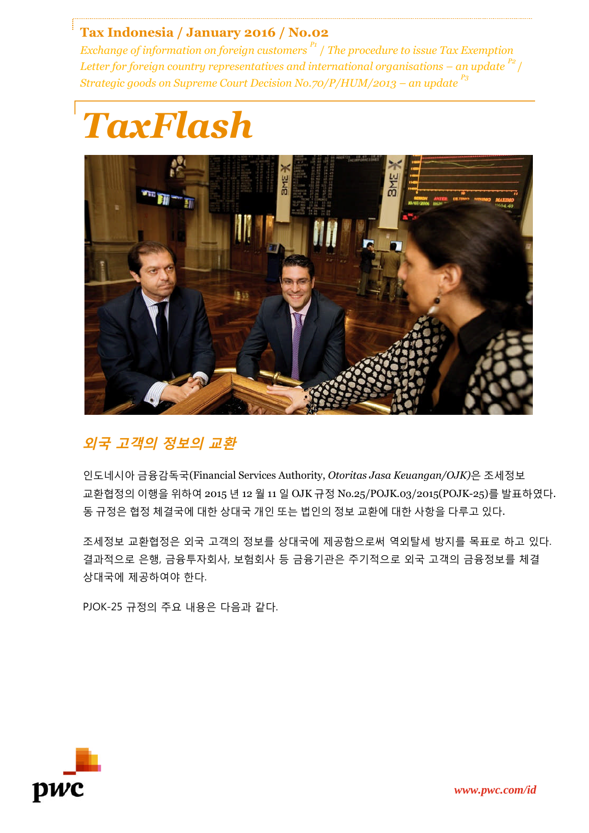## **Tax Indonesia / January 2016 / No.02**

*Exchange of information on foreign customers P1* / *The procedure to issue Tax Exemption Letter for foreign country representatives and international organisations – an update*  $P^2$  / *Strategic goods on Supreme Court Decision No.70/P/HUM/2013 – an update P3*





# **외국 고객의 정보의 교환**

인도네시아 금융감독국(Financial Services Authority, *Otoritas Jasa Keuangan/OJK)*은 조세정보 교환협정의 이행을 위하여 2015 년 12 월 11 일 OJK 규정 No.25/POJK.03/2015(POJK-25)를 발표하였다. 동 규정은 협정 체결국에 대한 상대국 개인 또는 법인의 정보 교환에 대한 사항을 다루고 있다.

조세정보 교환협정은 외국 고객의 정보를 상대국에 제공함으로써 역외탈세 방지를 목표로 하고 있다. 결과적으로 은행, 금융투자회사, 보험회사 등 금융기관은 주기적으로 외국 고객의 금융정보를 체결 상대국에 제공하여야 한다.

PJOK-25 규정의 주요 내용은 다음과 같다.

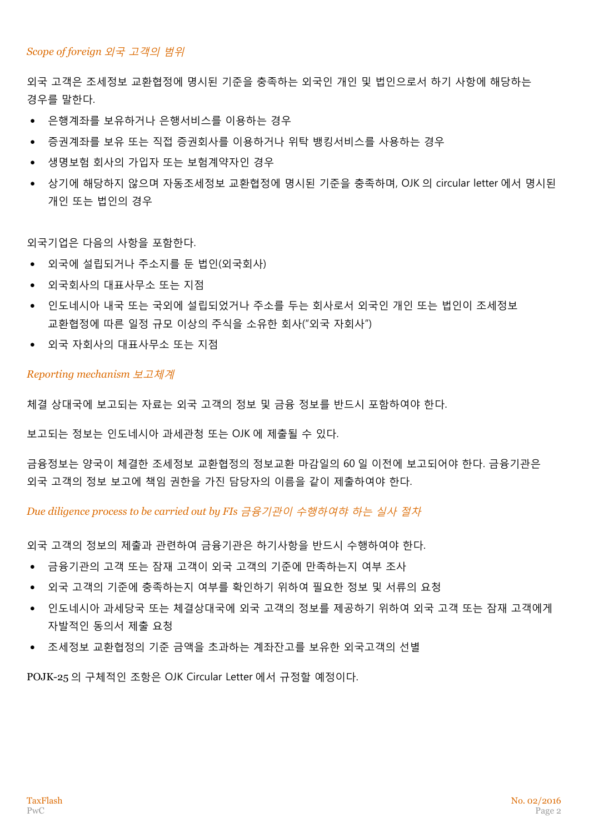### *Scope of foreign* 외국 고객의 범위

외국 고객은 조세정보 교환협정에 명시된 기준을 충족하는 외국인 개인 및 법인으로서 하기 사항에 해당하는 경우를 말한다.

- 은행계좌를 보유하거나 은행서비스를 이용하는 경우
- 증권계좌를 보유 또는 직접 증권회사를 이용하거나 위탁 뱅킹서비스를 사용하는 경우
- 생명보험 회사의 가입자 또는 보험계약자인 경우
- 상기에 해당하지 않으며 자동조세정보 교환협정에 명시된 기준을 충족하며, OJK 의 circular letter 에서 명시된 개인 또는 법인의 경우

외국기업은 다음의 사항을 포함한다.

- 외국에 설립되거나 주소지를 둔 법인(외국회사)
- 외국회사의 대표사무소 또는 지점
- 인도네시아 내국 또는 국외에 설립되었거나 주소를 두는 회사로서 외국인 개인 또는 법인이 조세정보 교환협정에 따른 일정 규모 이상의 주식을 소유한 회사("외국 자회사")
- 외국 자회사의 대표사무소 또는 지점

#### *Reporting mechanism* 보고체계

체결 상대국에 보고되는 자료는 외국 고객의 정보 및 금융 정보를 반드시 포함하여야 한다.

보고되는 정보는 인도네시아 과세관청 또는 OJK 에 제출될 수 있다.

금융정보는 양국이 체결한 조세정보 교환협정의 정보교환 마감일의 60 일 이전에 보고되어야 한다. 금융기관은 외국 고객의 정보 보고에 책임 권한을 가진 담당자의 이름을 같이 제출하여야 한다.

*Due diligence process to be carried out by FIs* 금융기관이 수행하여햐 하는 실사 절차

외국 고객의 정보의 제출과 관련하여 금융기관은 하기사항을 반드시 수행하여야 한다.

- 금융기관의 고객 또는 잠재 고객이 외국 고객의 기준에 만족하는지 여부 조사
- \_ 외국 고객의 기준에 충족하는지 여부를 확인하기 위하여 필요한 정보 및 서류의 요청
- 인도네시아 과세당국 또는 체결상대국에 외국 고객의 정보를 제공하기 위하여 외국 고객 또는 잠재 고객에게 자발적인 동의서 제출 요청
- 조세정보 교환협정의 기준 금액을 초과하는 계좌잔고를 보유한 외국고객의 선별

POJK-25 의 구체적인 조항은 OJK Circular Letter 에서 규정할 예정이다.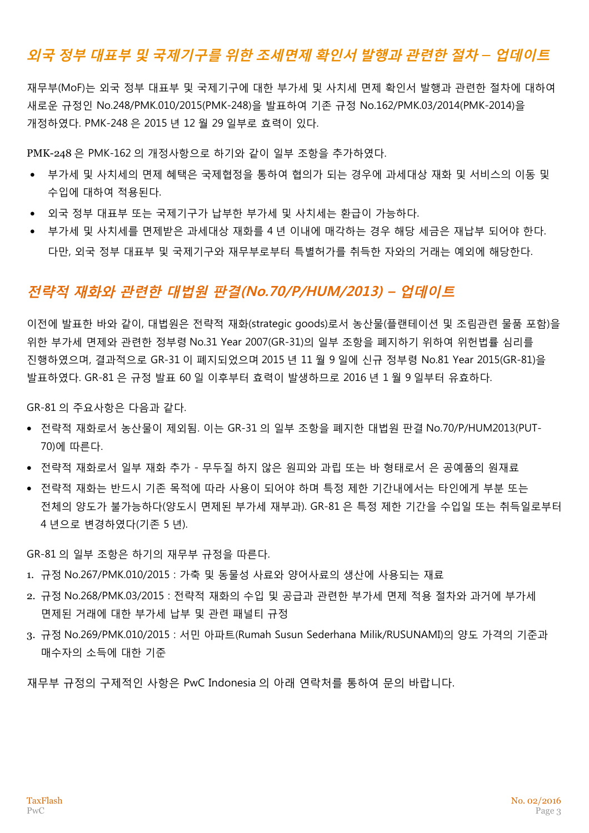# **외국 정부 대표부 및 국제기구를 위한 조세면제 확인서 발행과 관련한 절차** *–* **업데이트**

재무부(MoF)는 외국 정부 대표부 및 국제기구에 대한 부가세 및 사치세 면제 확인서 발행과 관련한 절차에 대하여 새로운 규정인 No.248/PMK.010/2015(PMK-248)을 발표하여 기존 규정 No.162/PMK.03/2014(PMK-2014)을 개정하였다. PMK-248 은 2015 년 12 월 29 일부로 효력이 있다.

PMK-248 은 PMK-162 의 개정사항으로 하기와 같이 일부 조항을 추가하였다.

- 부가세 및 사치세의 면제 혜택은 국제협정을 통하여 협의가 되는 경우에 과세대상 재화 및 서비스의 이동 및 수입에 대하여 적용된다.
- 외국 정부 대표부 또는 국제기구가 납부한 부가세 및 사치세는 환급이 가능하다.
- 부가세 및 사치세를 면제받은 과세대상 재화를 4 년 이내에 매각하는 경우 해당 세금은 재납부 되어야 한다. 다만, 외국 정부 대표부 및 국제기구와 재무부로부터 특별허가를 취득한 자와의 거래는 예외에 해당한다.

## **전략적 재화와 관련한 대법원 판결(No.70/P/HUM/2013) – 업데이트**

이전에 발표한 바와 같이, 대법원은 전략적 재화(strategic goods)로서 농산물(플랜테이션 및 조림관련 물품 포함)을 위한 부가세 면제와 관련한 정부령 No.31 Year 2007(GR-31)의 일부 조항을 폐지하기 위하여 위헌법률 심리를 진행하였으며, 결과적으로 GR-31 이 폐지되었으며 2015 년 11 월 9 일에 신규 정부령 No.81 Year 2015(GR-81)을 발표하였다. GR-81 은 규정 발표 60 일 이후부터 효력이 발생하므로 2016 년 1 월 9 일부터 유효하다.

GR-81 의 주요사항은 다음과 같다.

- 전략적 재화로서 농산물이 제외됨. 이는 GR-31 의 일부 조항을 폐지한 대법원 판결 No.70/P/HUM2013(PUT-70)에 따른다.
- 전략적 재화로서 일부 재화 추가 무두질 하지 않은 원피와 과립 또는 바 형태로서 은 공예품의 원재료
- 전략적 재화는 반드시 기존 목적에 따라 사용이 되어야 하며 특정 제한 기가내에서는 타인에게 부분 또는 전체의 양도가 불가능하다(양도시 면제된 부가세 재부과). GR-81 은 특정 제한 기간을 수입일 또는 취득일로부터 4 년으로 변경하였다(기존 5 년).

GR-81 의 일부 조항은 하기의 재무부 규정을 따른다.

- 1. 규정 No.267/PMK.010/2015 : 가축 및 동물성 사료와 양어사료의 생산에 사용되는 재료
- 2. 규정 No.268/PMK.03/2015 : 전략적 재화의 수입 및 공급과 관련한 부가세 면제 적용 절차와 과거에 부가세 면제된 거래에 대한 부가세 납부 및 관련 패널티 규정
- 3. 규정 No.269/PMK.010/2015 : 서민 아파트(Rumah Susun Sederhana Milik/RUSUNAMI)의 양도 가격의 기준과 매수자의 소득에 대한 기준

재무부 규정의 구제적인 사항은 PwC Indonesia 의 아래 연락처를 통하여 문의 바랍니다.